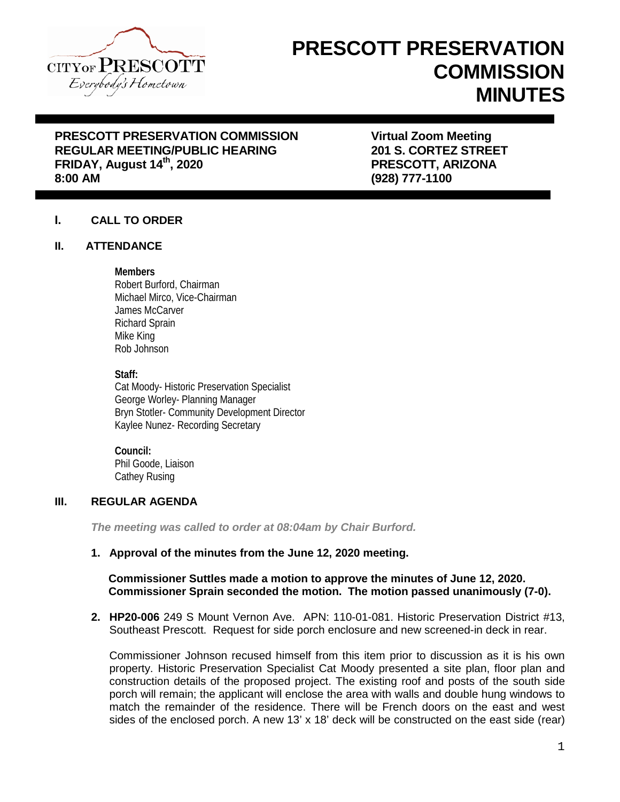

# **PRESCOTT PRESERVATION COMMISSION MINUTES**

## **PRESCOTT PRESERVATION COMMISSION FRESCOTT PRESERVATION COMMISSION FRAGULAR MEETING/PUBLIC HEARING FRAGULARY STATES STREET REGULAR MEETING/PUBLIC HEARING FRIDAY, August 14th, 2020 PRESCOTT, ARIZONA**

**8:00 AM (928) 777-1100**

### **I. CALL TO ORDER**

#### **II. ATTENDANCE**

#### **Members**

Robert Burford, Chairman Michael Mirco, Vice-Chairman James McCarver Richard Sprain Mike King Rob Johnson

#### **Staff:**

Cat Moody- Historic Preservation Specialist George Worley- Planning Manager Bryn Stotler- Community Development Director Kaylee Nunez- Recording Secretary

**Council:** Phil Goode, Liaison Cathey Rusing

#### **III. REGULAR AGENDA**

*The meeting was called to order at 08:04am by Chair Burford.*

#### **1. Approval of the minutes from the June 12, 2020 meeting.**

#### **Commissioner Suttles made a motion to approve the minutes of June 12, 2020. Commissioner Sprain seconded the motion. The motion passed unanimously (7-0).**

**2. HP20-006** 249 S Mount Vernon Ave. APN: 110-01-081. Historic Preservation District #13, Southeast Prescott. Request for side porch enclosure and new screened-in deck in rear.

Commissioner Johnson recused himself from this item prior to discussion as it is his own property. Historic Preservation Specialist Cat Moody presented a site plan, floor plan and construction details of the proposed project. The existing roof and posts of the south side porch will remain; the applicant will enclose the area with walls and double hung windows to match the remainder of the residence. There will be French doors on the east and west sides of the enclosed porch. A new 13' x 18' deck will be constructed on the east side (rear)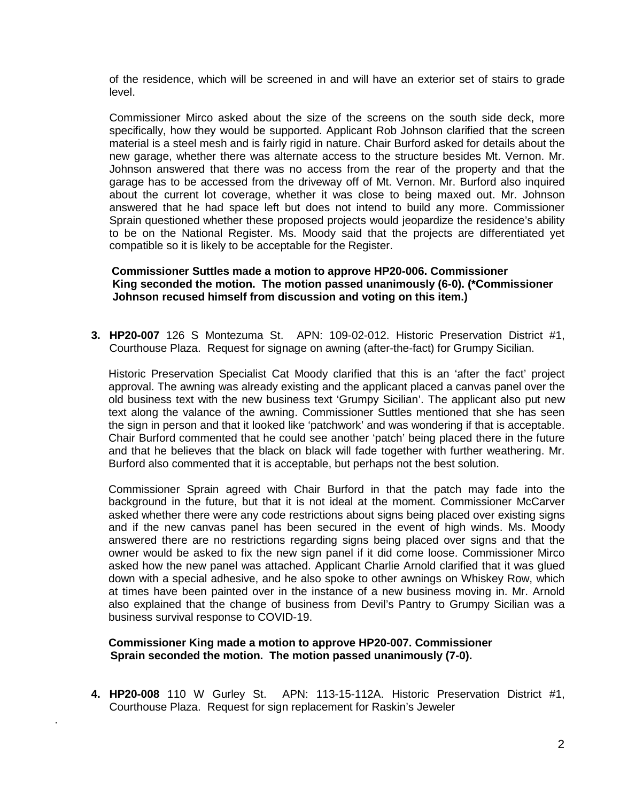of the residence, which will be screened in and will have an exterior set of stairs to grade level.

Commissioner Mirco asked about the size of the screens on the south side deck, more specifically, how they would be supported. Applicant Rob Johnson clarified that the screen material is a steel mesh and is fairly rigid in nature. Chair Burford asked for details about the new garage, whether there was alternate access to the structure besides Mt. Vernon. Mr. Johnson answered that there was no access from the rear of the property and that the garage has to be accessed from the driveway off of Mt. Vernon. Mr. Burford also inquired about the current lot coverage, whether it was close to being maxed out. Mr. Johnson answered that he had space left but does not intend to build any more. Commissioner Sprain questioned whether these proposed projects would jeopardize the residence's ability to be on the National Register. Ms. Moody said that the projects are differentiated yet compatible so it is likely to be acceptable for the Register.

#### **Commissioner Suttles made a motion to approve HP20-006. Commissioner King seconded the motion. The motion passed unanimously (6-0). (\*Commissioner Johnson recused himself from discussion and voting on this item.)**

**3. HP20-007** 126 S Montezuma St. APN: 109-02-012. Historic Preservation District #1, Courthouse Plaza. Request for signage on awning (after-the-fact) for Grumpy Sicilian.

Historic Preservation Specialist Cat Moody clarified that this is an 'after the fact' project approval. The awning was already existing and the applicant placed a canvas panel over the old business text with the new business text 'Grumpy Sicilian'. The applicant also put new text along the valance of the awning. Commissioner Suttles mentioned that she has seen the sign in person and that it looked like 'patchwork' and was wondering if that is acceptable. Chair Burford commented that he could see another 'patch' being placed there in the future and that he believes that the black on black will fade together with further weathering. Mr. Burford also commented that it is acceptable, but perhaps not the best solution.

Commissioner Sprain agreed with Chair Burford in that the patch may fade into the background in the future, but that it is not ideal at the moment. Commissioner McCarver asked whether there were any code restrictions about signs being placed over existing signs and if the new canvas panel has been secured in the event of high winds. Ms. Moody answered there are no restrictions regarding signs being placed over signs and that the owner would be asked to fix the new sign panel if it did come loose. Commissioner Mirco asked how the new panel was attached. Applicant Charlie Arnold clarified that it was glued down with a special adhesive, and he also spoke to other awnings on Whiskey Row, which at times have been painted over in the instance of a new business moving in. Mr. Arnold also explained that the change of business from Devil's Pantry to Grumpy Sicilian was a business survival response to COVID-19.

#### **Commissioner King made a motion to approve HP20-007. Commissioner Sprain seconded the motion. The motion passed unanimously (7-0).**

.

**4. HP20-008** 110 W Gurley St. APN: 113-15-112A. Historic Preservation District #1, Courthouse Plaza. Request for sign replacement for Raskin's Jeweler